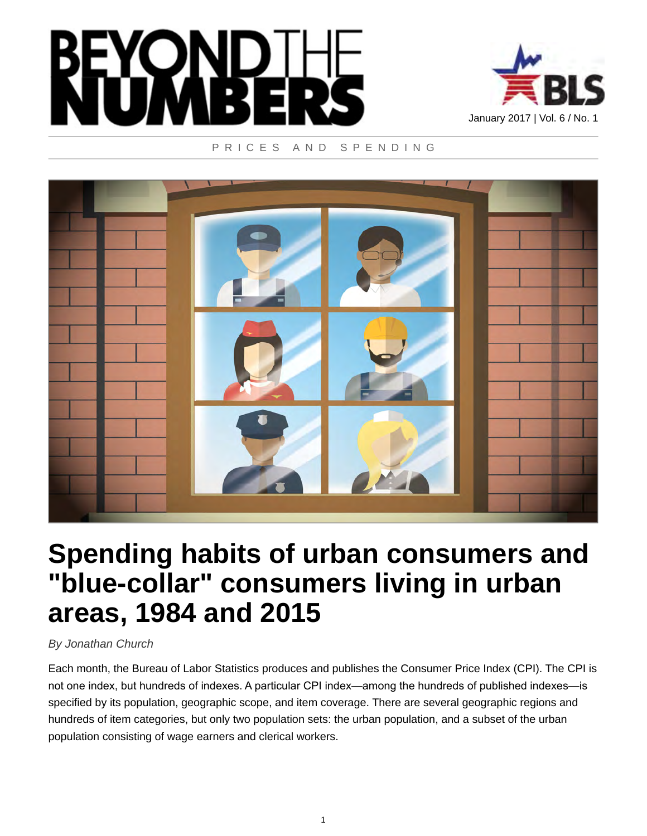



#### PRICES AND SPENDING



# **Spending habits of urban consumers and "blue-collar" consumers living in urban areas, 1984 and 2015**

## *By Jonathan Church*

Each month, the Bureau of Labor Statistics produces and publishes the Consumer Price Index (CPI). The CPI is not one index, but hundreds of indexes. A particular CPI index—among the hundreds of published indexes—is specified by its population, geographic scope, and item coverage. There are several geographic regions and hundreds of item categories, but only two population sets: the urban population, and a subset of the urban population consisting of wage earners and clerical workers.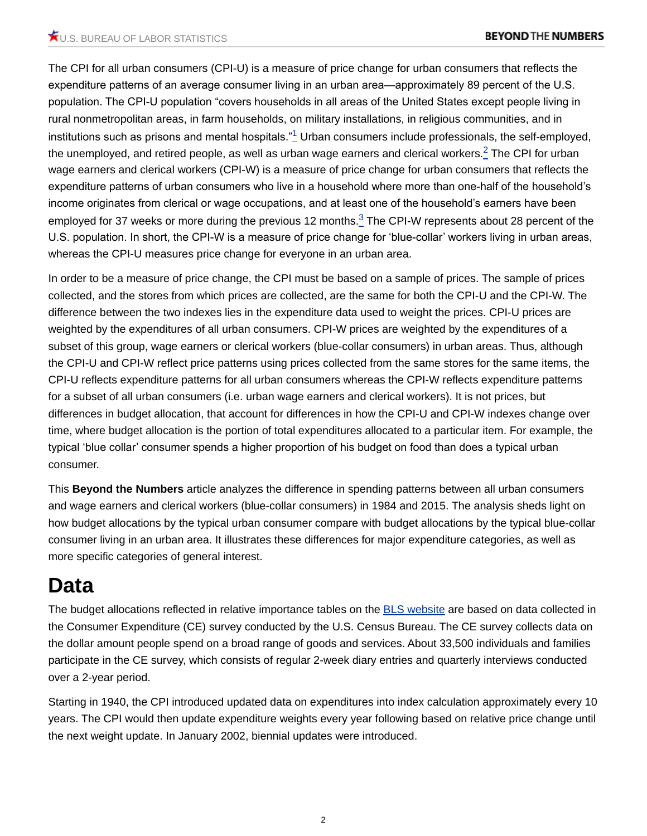<span id="page-1-1"></span><span id="page-1-0"></span>The CPI for all urban consumers (CPI-U) is a measure of price change for urban consumers that reflects the expenditure patterns of an average consumer living in an urban area—approximately 89 percent of the U.S. population. The CPI-U population "covers households in all areas of the United States except people living in rural nonmetropolitan areas, in farm households, on military installations, in religious communities, and in institutions such as prisons and mental hospitals." $^1$  $^1$  Urban consumers include professionals, the self-employed, the unemployed, and retired people, as well as urban wage earners and clerical workers. $^2$  $^2$  The CPI for urban wage earners and clerical workers (CPI-W) is a measure of price change for urban consumers that reflects the expenditure patterns of urban consumers who live in a household where more than one-half of the household's income originates from clerical or wage occupations, and at least one of the household's earners have been employed for [3](#page-7-2)7 weeks or more during the previous 12 months. ${}^{3}_{-}$  The CPI-W represents about 28 percent of the U.S. population. In short, the CPI-W is a measure of price change for 'blue-collar' workers living in urban areas, whereas the CPI-U measures price change for everyone in an urban area.

<span id="page-1-2"></span>In order to be a measure of price change, the CPI must be based on a sample of prices. The sample of prices collected, and the stores from which prices are collected, are the same for both the CPI-U and the CPI-W. The difference between the two indexes lies in the expenditure data used to weight the prices. CPI-U prices are weighted by the expenditures of all urban consumers. CPI-W prices are weighted by the expenditures of a subset of this group, wage earners or clerical workers (blue-collar consumers) in urban areas. Thus, although the CPI-U and CPI-W reflect price patterns using prices collected from the same stores for the same items, the CPI-U reflects expenditure patterns for all urban consumers whereas the CPI-W reflects expenditure patterns for a subset of all urban consumers (i.e. urban wage earners and clerical workers). It is not prices, but differences in budget allocation, that account for differences in how the CPI-U and CPI-W indexes change over time, where budget allocation is the portion of total expenditures allocated to a particular item. For example, the typical 'blue collar' consumer spends a higher proportion of his budget on food than does a typical urban consumer.

This **Beyond the Numbers** article analyzes the difference in spending patterns between all urban consumers and wage earners and clerical workers (blue-collar consumers) in 1984 and 2015. The analysis sheds light on how budget allocations by the typical urban consumer compare with budget allocations by the typical blue-collar consumer living in an urban area. It illustrates these differences for major expenditure categories, as well as more specific categories of general interest.

# **Data**

The budget allocations reflected in relative importance tables on the **BLS** website are based on data collected in the Consumer Expenditure (CE) survey conducted by the U.S. Census Bureau. The CE survey collects data on the dollar amount people spend on a broad range of goods and services. About 33,500 individuals and families participate in the CE survey, which consists of regular 2-week diary entries and quarterly interviews conducted over a 2-year period.

Starting in 1940, the CPI introduced updated data on expenditures into index calculation approximately every 10 years. The CPI would then update expenditure weights every year following based on relative price change until the next weight update. In January 2002, biennial updates were introduced.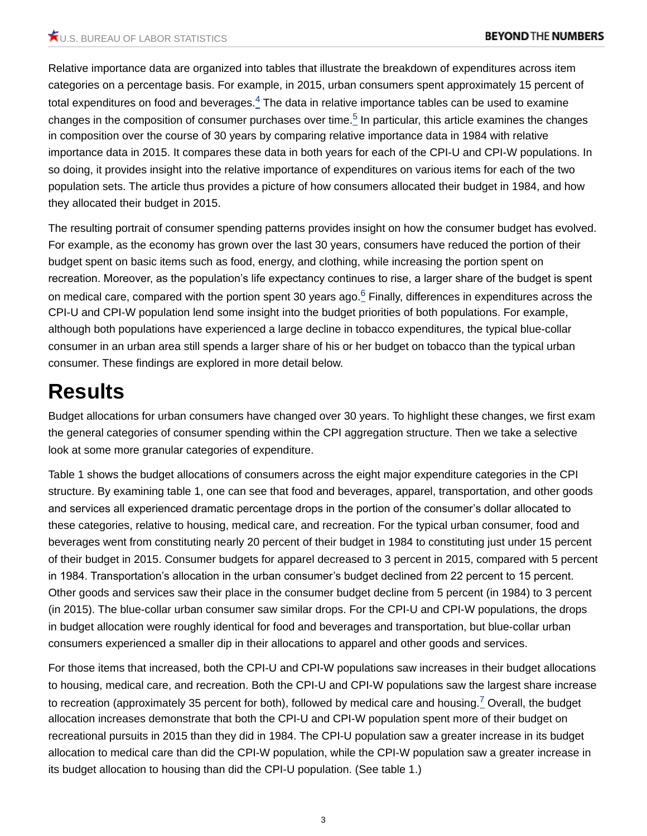<span id="page-2-1"></span><span id="page-2-0"></span>Relative importance data are organized into tables that illustrate the breakdown of expenditures across item categories on a percentage basis. For example, in 2015, urban consumers spent approximately 15 percent of total expenditures on food and beverages. $^4$  $^4$  The data in relative importance tables can be used to examine changes in the composition of consumer purchases over time.<sup>[5](#page-7-4)</sup> In particular, this article examines the changes in composition over the course of 30 years by comparing relative importance data in 1984 with relative importance data in 2015. It compares these data in both years for each of the CPI-U and CPI-W populations. In so doing, it provides insight into the relative importance of expenditures on various items for each of the two population sets. The article thus provides a picture of how consumers allocated their budget in 1984, and how they allocated their budget in 2015.

<span id="page-2-2"></span>The resulting portrait of consumer spending patterns provides insight on how the consumer budget has evolved. For example, as the economy has grown over the last 30 years, consumers have reduced the portion of their budget spent on basic items such as food, energy, and clothing, while increasing the portion spent on recreation. Moreover, as the population's life expectancy continues to rise, a larger share of the budget is spent on medical care, compared with the portion spent 30 years ago. $^6$  $^6$  Finally, differences in expenditures across the CPI-U and CPI-W population lend some insight into the budget priorities of both populations. For example, although both populations have experienced a large decline in tobacco expenditures, the typical blue-collar consumer in an urban area still spends a larger share of his or her budget on tobacco than the typical urban consumer. These findings are explored in more detail below.

# **Results**

Budget allocations for urban consumers have changed over 30 years. To highlight these changes, we first exam the general categories of consumer spending within the CPI aggregation structure. Then we take a selective look at some more granular categories of expenditure.

Table 1 shows the budget allocations of consumers across the eight major expenditure categories in the CPI structure. By examining table 1, one can see that food and beverages, apparel, transportation, and other goods and services all experienced dramatic percentage drops in the portion of the consumer's dollar allocated to these categories, relative to housing, medical care, and recreation. For the typical urban consumer, food and beverages went from constituting nearly 20 percent of their budget in 1984 to constituting just under 15 percent of their budget in 2015. Consumer budgets for apparel decreased to 3 percent in 2015, compared with 5 percent in 1984. Transportation's allocation in the urban consumer's budget declined from 22 percent to 15 percent. Other goods and services saw their place in the consumer budget decline from 5 percent (in 1984) to 3 percent (in 2015). The blue-collar urban consumer saw similar drops. For the CPI-U and CPI-W populations, the drops in budget allocation were roughly identical for food and beverages and transportation, but blue-collar urban consumers experienced a smaller dip in their allocations to apparel and other goods and services.

<span id="page-2-3"></span>For those items that increased, both the CPI-U and CPI-W populations saw increases in their budget allocations to housing, medical care, and recreation. Both the CPI-U and CPI-W populations saw the largest share increase to recreation (approximately 35 percent for both), followed by medical care and housing.<sup>[7](#page-8-1)</sup> Overall, the budget allocation increases demonstrate that both the CPI-U and CPI-W population spent more of their budget on recreational pursuits in 2015 than they did in 1984. The CPI-U population saw a greater increase in its budget allocation to medical care than did the CPI-W population, while the CPI-W population saw a greater increase in its budget allocation to housing than did the CPI-U population. (See table 1.)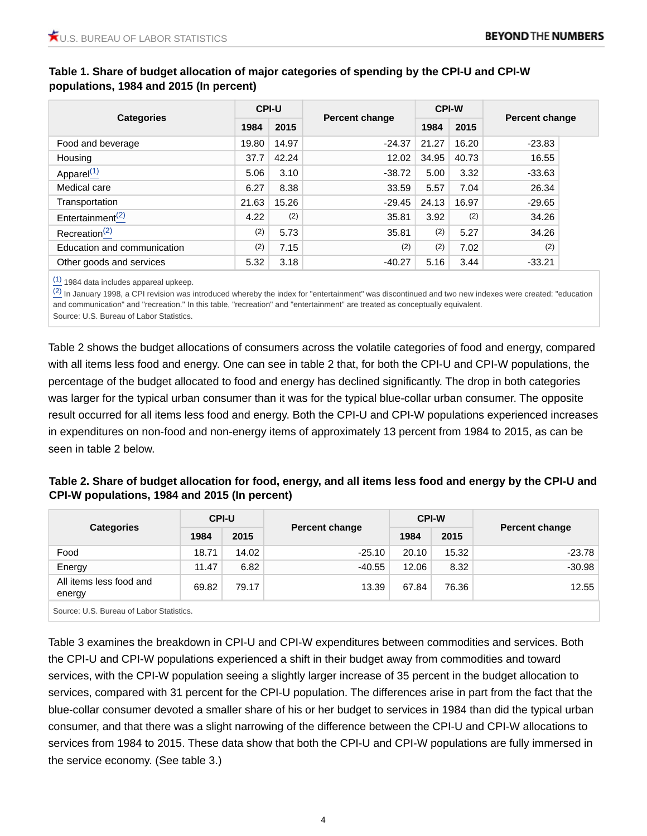|                              | <b>CPI-U</b> |       |                | <b>CPI-W</b> |       | Percent change |  |
|------------------------------|--------------|-------|----------------|--------------|-------|----------------|--|
| <b>Categories</b>            | 1984         | 2015  | Percent change | 1984         | 2015  |                |  |
| Food and beverage            | 19.80        | 14.97 | $-24.37$       | 21.27        | 16.20 | $-23.83$       |  |
| Housing                      | 37.7         | 42.24 | 12.02          | 34.95        | 40.73 | 16.55          |  |
| Apparel $(1)$                | 5.06         | 3.10  | $-38.72$       | 5.00         | 3.32  | $-33.63$       |  |
| Medical care                 | 6.27         | 8.38  | 33.59          | 5.57         | 7.04  | 26.34          |  |
| Transportation               | 21.63        | 15.26 | $-29.45$       | 24.13        | 16.97 | $-29.65$       |  |
| Entertainment <sup>(2)</sup> | 4.22         | (2)   | 35.81          | 3.92         | (2)   | 34.26          |  |
| Recreation <sup>(2)</sup>    | (2)          | 5.73  | 35.81          | (2)          | 5.27  | 34.26          |  |
| Education and communication  | (2)          | 7.15  | (2)            | (2)          | 7.02  | (2)            |  |
| Other goods and services     | 5.32         | 3.18  | $-40.27$       | 5.16         | 3.44  | $-33.21$       |  |

### <span id="page-3-0"></span>**Table 1. Share of budget allocation of major categories of spending by the CPI-U and CPI-W populations, 1984 and 2015 (In percent)**

[\(1\)](#page-3-0) 1984 data includes appareal upkeep.

 $\frac{(2)}{(2)}$  $\frac{(2)}{(2)}$  $\frac{(2)}{(2)}$  In January 1998, a CPI revision was introduced whereby the index for "entertainment" was discontinued and two new indexes were created: "education and communication" and "recreation." In this table, "recreation" and "entertainment" are treated as conceptually equivalent. Source: U.S. Bureau of Labor Statistics.

Table 2 shows the budget allocations of consumers across the volatile categories of food and energy, compared with all items less food and energy. One can see in table 2 that, for both the CPI-U and CPI-W populations, the percentage of the budget allocated to food and energy has declined significantly. The drop in both categories was larger for the typical urban consumer than it was for the typical blue-collar urban consumer. The opposite result occurred for all items less food and energy. Both the CPI-U and CPI-W populations experienced increases in expenditures on non-food and non-energy items of approximately 13 percent from 1984 to 2015, as can be seen in table 2 below.

| Table 2. Share of budget allocation for food, energy, and all items less food and energy by the CPI-U and |
|-----------------------------------------------------------------------------------------------------------|
| CPI-W populations, 1984 and 2015 (In percent)                                                             |

|                                          | <b>CPI-U</b> |       |                | <b>CPI-W</b> |       |                |  |
|------------------------------------------|--------------|-------|----------------|--------------|-------|----------------|--|
| <b>Categories</b>                        | 1984         | 2015  | Percent change | 1984         | 2015  | Percent change |  |
| Food                                     | 18.71        | 14.02 | $-25.10$       | 20.10        | 15.32 | $-23.78$       |  |
| Energy                                   | 11.47        | 6.82  | $-40.55$       | 12.06        | 8.32  | $-30.98$       |  |
| All items less food and<br>energy        | 69.82        | 79.17 | 13.39          | 67.84        | 76.36 | 12.55          |  |
| Source: U.S. Bureau of Labor Statistics. |              |       |                |              |       |                |  |

Table 3 examines the breakdown in CPI-U and CPI-W expenditures between commodities and services. Both the CPI-U and CPI-W populations experienced a shift in their budget away from commodities and toward services, with the CPI-W population seeing a slightly larger increase of 35 percent in the budget allocation to services, compared with 31 percent for the CPI-U population. The differences arise in part from the fact that the blue-collar consumer devoted a smaller share of his or her budget to services in 1984 than did the typical urban consumer, and that there was a slight narrowing of the difference between the CPI-U and CPI-W allocations to services from 1984 to 2015. These data show that both the CPI-U and CPI-W populations are fully immersed in the service economy. (See table 3.)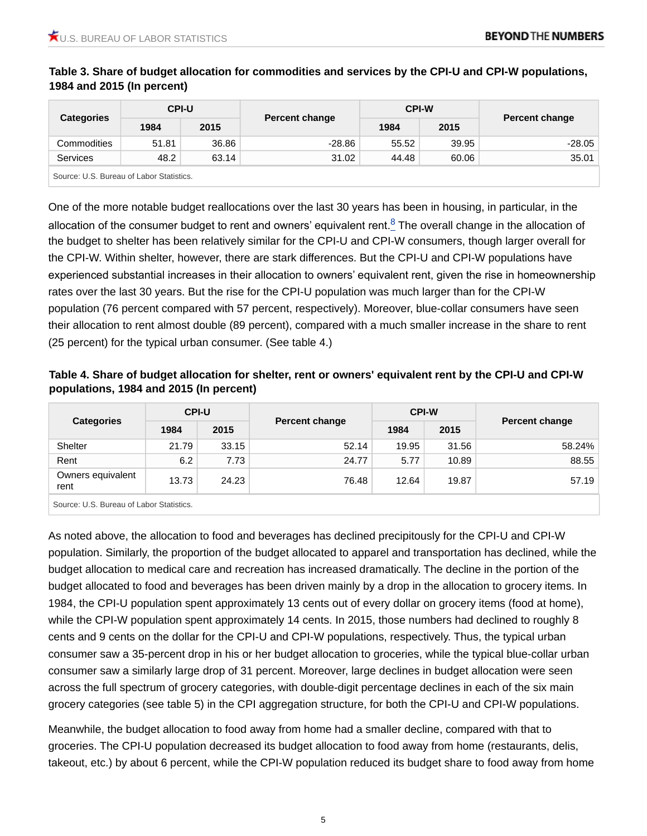|                                          | <b>CPI-U</b> |       |                       | <b>CPI-W</b> |       |                       |
|------------------------------------------|--------------|-------|-----------------------|--------------|-------|-----------------------|
| <b>Categories</b>                        | 1984         | 2015  | <b>Percent change</b> | 1984         | 2015  | <b>Percent change</b> |
| Commodities                              | 51.81        | 36.86 | $-28.86$              | 55.52        | 39.95 | $-28.05$              |
| <b>Services</b>                          | 48.2         | 63.14 | 31.02                 | 44.48        | 60.06 | 35.01                 |
| Source: U.S. Bureau of Labor Statistics. |              |       |                       |              |       |                       |

**Table 3. Share of budget allocation for commodities and services by the CPI-U and CPI-W populations, 1984 and 2015 (In percent)**

<span id="page-4-0"></span>One of the more notable budget reallocations over the last 30 years has been in housing, in particular, in the allocation of the consumer budget to rent and owners' equivalent rent. $\frac{8}{5}$  $\frac{8}{5}$  $\frac{8}{5}$  The overall change in the allocation of the budget to shelter has been relatively similar for the CPI-U and CPI-W consumers, though larger overall for the CPI-W. Within shelter, however, there are stark differences. But the CPI-U and CPI-W populations have experienced substantial increases in their allocation to owners' equivalent rent, given the rise in homeownership rates over the last 30 years. But the rise for the CPI-U population was much larger than for the CPI-W population (76 percent compared with 57 percent, respectively). Moreover, blue-collar consumers have seen their allocation to rent almost double (89 percent), compared with a much smaller increase in the share to rent (25 percent) for the typical urban consumer. (See table 4.)

### **Table 4. Share of budget allocation for shelter, rent or owners' equivalent rent by the CPI-U and CPI-W populations, 1984 and 2015 (In percent)**

|                           | <b>CPI-U</b> |       |                | <b>CPI-W</b> |       | Percent change |  |
|---------------------------|--------------|-------|----------------|--------------|-------|----------------|--|
| <b>Categories</b>         | 1984         | 2015  | Percent change | 1984         | 2015  |                |  |
| Shelter                   | 21.79        | 33.15 | 52.14          | 19.95        | 31.56 | 58.24%         |  |
| Rent                      | 6.2          | 7.73  | 24.77          | 5.77         | 10.89 | 88.55          |  |
| Owners equivalent<br>rent | 13.73        | 24.23 | 76.48          | 12.64        | 19.87 | 57.19          |  |
| .<br>$\sim$               |              |       |                |              |       |                |  |

Source: U.S. Bureau of Labor Statistics.

As noted above, the allocation to food and beverages has declined precipitously for the CPI-U and CPI-W population. Similarly, the proportion of the budget allocated to apparel and transportation has declined, while the budget allocation to medical care and recreation has increased dramatically. The decline in the portion of the budget allocated to food and beverages has been driven mainly by a drop in the allocation to grocery items. In 1984, the CPI-U population spent approximately 13 cents out of every dollar on grocery items (food at home), while the CPI-W population spent approximately 14 cents. In 2015, those numbers had declined to roughly 8 cents and 9 cents on the dollar for the CPI-U and CPI-W populations, respectively. Thus, the typical urban consumer saw a 35-percent drop in his or her budget allocation to groceries, while the typical blue-collar urban consumer saw a similarly large drop of 31 percent. Moreover, large declines in budget allocation were seen across the full spectrum of grocery categories, with double-digit percentage declines in each of the six main grocery categories (see table 5) in the CPI aggregation structure, for both the CPI-U and CPI-W populations.

Meanwhile, the budget allocation to food away from home had a smaller decline, compared with that to groceries. The CPI-U population decreased its budget allocation to food away from home (restaurants, delis, takeout, etc.) by about 6 percent, while the CPI-W population reduced its budget share to food away from home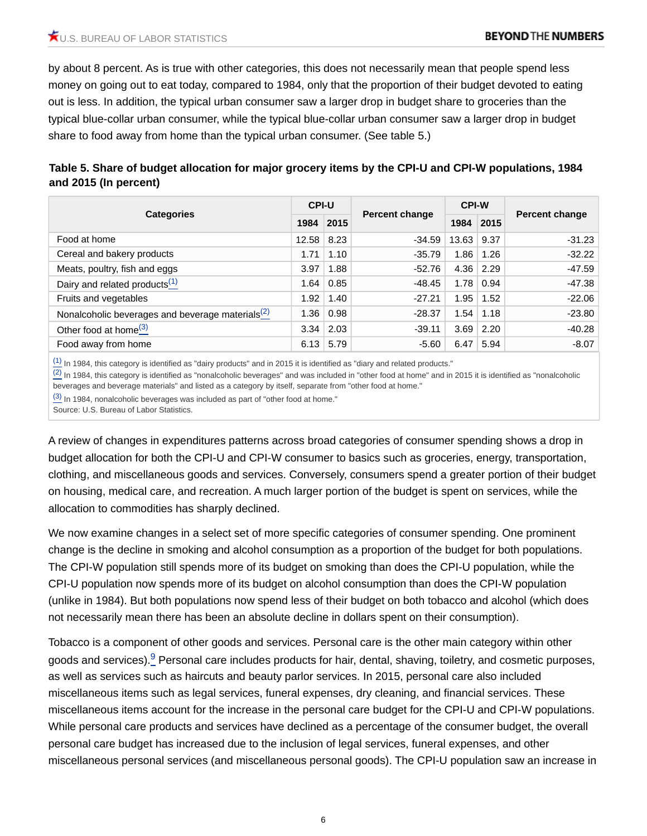by about 8 percent. As is true with other categories, this does not necessarily mean that people spend less money on going out to eat today, compared to 1984, only that the proportion of their budget devoted to eating out is less. In addition, the typical urban consumer saw a larger drop in budget share to groceries than the typical blue-collar urban consumer, while the typical blue-collar urban consumer saw a larger drop in budget share to food away from home than the typical urban consumer. (See table 5.)

## **Table 5. Share of budget allocation for major grocery items by the CPI-U and CPI-W populations, 1984 and 2015 (In percent)**

|                                                     | <b>CPI-U</b> |      |                | <b>CPI-W</b> |      |                       |  |
|-----------------------------------------------------|--------------|------|----------------|--------------|------|-----------------------|--|
| <b>Categories</b>                                   | 1984         | 2015 | Percent change | 1984         | 2015 | <b>Percent change</b> |  |
| Food at home                                        | 12.58        | 8.23 | $-34.59$       | 13.63        | 9.37 | $-31.23$              |  |
| Cereal and bakery products                          | 1.71         | 1.10 | $-35.79$       | 1.86         | 1.26 | $-32.22$              |  |
| Meats, poultry, fish and eggs                       | 3.97         | 1.88 | $-52.76$       | 4.36         | 2.29 | $-47.59$              |  |
| Dairy and related products $(1)$                    | 1.64         | 0.85 | $-48.45$       | 1.78         | 0.94 | $-47.38$              |  |
| Fruits and vegetables                               | 1.92         | 1.40 | $-27.21$       | 1.95         | 1.52 | $-22.06$              |  |
| Nonalcoholic beverages and beverage materials $(2)$ | 1.36         | 0.98 | $-28.37$       | 1.54         | 1.18 | $-23.80$              |  |
| Other food at home <sup>(3)</sup>                   | 3.34         | 2.03 | $-39.11$       | 3.69         | 2.20 | $-40.28$              |  |
| Food away from home                                 | 6.13         | 5.79 | $-5.60$        | 6.47         | 5.94 | $-8.07$               |  |

 $(1)$  In 1984, this category is identified as "dairy products" and in 2015 it is identified as "diary and related products."

 $\frac{(2)}{(2)}$  $\frac{(2)}{(2)}$  $\frac{(2)}{(2)}$  In 1984, this category is identified as "nonalcoholic beverages" and was included in "other food at home" and in 2015 it is identified as "nonalcoholic beverages and beverage materials" and listed as a category by itself, separate from "other food at home."

 $\frac{(3)}{(4)}$  $\frac{(3)}{(4)}$  $\frac{(3)}{(4)}$  In 1984, nonalcoholic beverages was included as part of "other food at home."

Source: U.S. Bureau of Labor Statistics.

A review of changes in expenditures patterns across broad categories of consumer spending shows a drop in budget allocation for both the CPI-U and CPI-W consumer to basics such as groceries, energy, transportation, clothing, and miscellaneous goods and services. Conversely, consumers spend a greater portion of their budget on housing, medical care, and recreation. A much larger portion of the budget is spent on services, while the allocation to commodities has sharply declined.

We now examine changes in a select set of more specific categories of consumer spending. One prominent change is the decline in smoking and alcohol consumption as a proportion of the budget for both populations. The CPI-W population still spends more of its budget on smoking than does the CPI-U population, while the CPI-U population now spends more of its budget on alcohol consumption than does the CPI-W population (unlike in 1984). But both populations now spend less of their budget on both tobacco and alcohol (which does not necessarily mean there has been an absolute decline in dollars spent on their consumption).

<span id="page-5-0"></span>Tobacco is a component of other goods and services. Personal care is the other main category within other goods and services).<sup>[9](#page-8-3)</sup> Personal care includes products for hair, dental, shaving, toiletry, and cosmetic purposes, as well as services such as haircuts and beauty parlor services. In 2015, personal care also included miscellaneous items such as legal services, funeral expenses, dry cleaning, and financial services. These miscellaneous items account for the increase in the personal care budget for the CPI-U and CPI-W populations. While personal care products and services have declined as a percentage of the consumer budget, the overall personal care budget has increased due to the inclusion of legal services, funeral expenses, and other miscellaneous personal services (and miscellaneous personal goods). The CPI-U population saw an increase in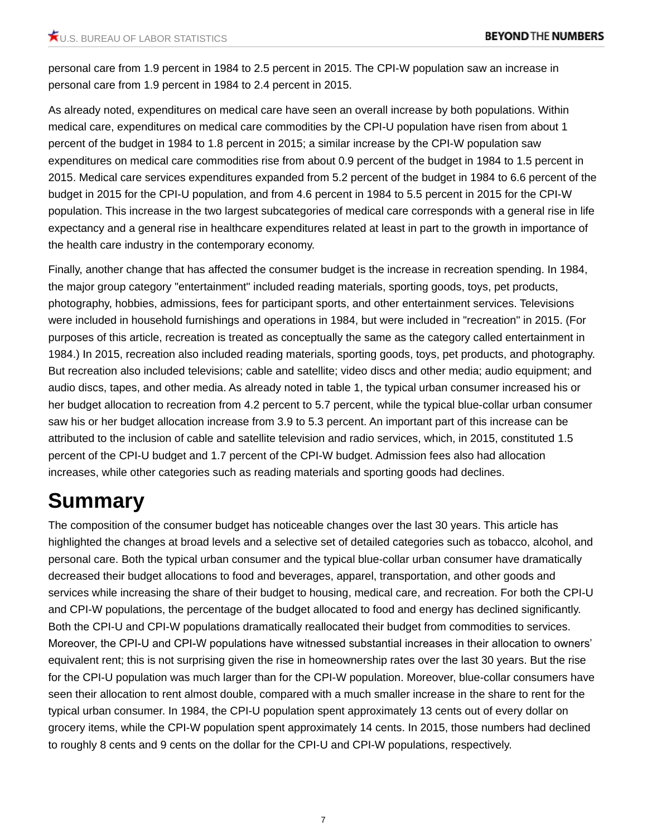personal care from 1.9 percent in 1984 to 2.5 percent in 2015. The CPI-W population saw an increase in personal care from 1.9 percent in 1984 to 2.4 percent in 2015.

As already noted, expenditures on medical care have seen an overall increase by both populations. Within medical care, expenditures on medical care commodities by the CPI-U population have risen from about 1 percent of the budget in 1984 to 1.8 percent in 2015; a similar increase by the CPI-W population saw expenditures on medical care commodities rise from about 0.9 percent of the budget in 1984 to 1.5 percent in 2015. Medical care services expenditures expanded from 5.2 percent of the budget in 1984 to 6.6 percent of the budget in 2015 for the CPI-U population, and from 4.6 percent in 1984 to 5.5 percent in 2015 for the CPI-W population. This increase in the two largest subcategories of medical care corresponds with a general rise in life expectancy and a general rise in healthcare expenditures related at least in part to the growth in importance of the health care industry in the contemporary economy.

Finally, another change that has affected the consumer budget is the increase in recreation spending. In 1984, the major group category "entertainment" included reading materials, sporting goods, toys, pet products, photography, hobbies, admissions, fees for participant sports, and other entertainment services. Televisions were included in household furnishings and operations in 1984, but were included in "recreation" in 2015. (For purposes of this article, recreation is treated as conceptually the same as the category called entertainment in 1984.) In 2015, recreation also included reading materials, sporting goods, toys, pet products, and photography. But recreation also included televisions; cable and satellite; video discs and other media; audio equipment; and audio discs, tapes, and other media. As already noted in table 1, the typical urban consumer increased his or her budget allocation to recreation from 4.2 percent to 5.7 percent, while the typical blue-collar urban consumer saw his or her budget allocation increase from 3.9 to 5.3 percent. An important part of this increase can be attributed to the inclusion of cable and satellite television and radio services, which, in 2015, constituted 1.5 percent of the CPI-U budget and 1.7 percent of the CPI-W budget. Admission fees also had allocation increases, while other categories such as reading materials and sporting goods had declines.

# **Summary**

The composition of the consumer budget has noticeable changes over the last 30 years. This article has highlighted the changes at broad levels and a selective set of detailed categories such as tobacco, alcohol, and personal care. Both the typical urban consumer and the typical blue-collar urban consumer have dramatically decreased their budget allocations to food and beverages, apparel, transportation, and other goods and services while increasing the share of their budget to housing, medical care, and recreation. For both the CPI-U and CPI-W populations, the percentage of the budget allocated to food and energy has declined significantly. Both the CPI-U and CPI-W populations dramatically reallocated their budget from commodities to services. Moreover, the CPI-U and CPI-W populations have witnessed substantial increases in their allocation to owners' equivalent rent; this is not surprising given the rise in homeownership rates over the last 30 years. But the rise for the CPI-U population was much larger than for the CPI-W population. Moreover, blue-collar consumers have seen their allocation to rent almost double, compared with a much smaller increase in the share to rent for the typical urban consumer. In 1984, the CPI-U population spent approximately 13 cents out of every dollar on grocery items, while the CPI-W population spent approximately 14 cents. In 2015, those numbers had declined to roughly 8 cents and 9 cents on the dollar for the CPI-U and CPI-W populations, respectively.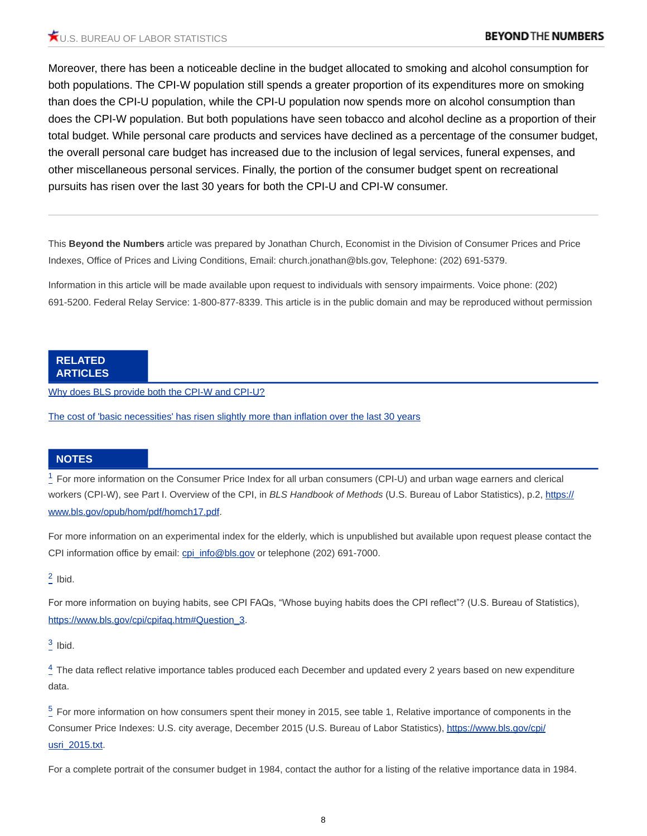Moreover, there has been a noticeable decline in the budget allocated to smoking and alcohol consumption for both populations. The CPI-W population still spends a greater proportion of its expenditures more on smoking than does the CPI-U population, while the CPI-U population now spends more on alcohol consumption than does the CPI-W population. But both populations have seen tobacco and alcohol decline as a proportion of their total budget. While personal care products and services have declined as a percentage of the consumer budget, the overall personal care budget has increased due to the inclusion of legal services, funeral expenses, and other miscellaneous personal services. Finally, the portion of the consumer budget spent on recreational pursuits has risen over the last 30 years for both the CPI-U and CPI-W consumer.

This **Beyond the Numbers** article was prepared by Jonathan Church, Economist in the Division of Consumer Prices and Price Indexes, Office of Prices and Living Conditions, Email: church.jonathan@bls.gov, Telephone: (202) 691-5379.

Information in this article will be made available upon request to individuals with sensory impairments. Voice phone: (202) 691-5200. Federal Relay Service: 1-800-877-8339. This article is in the public domain and may be reproduced without permission

#### **RELATED ARTICLES**

[Why does BLS provide both the CPI-W and CPI-U?](https://www.bls.gov/opub/btn/volume-3/why-does-bls-provide-both-the-cpi-w-and-cpi-u.htm)

[The cost of 'basic necessities' has risen slightly more than inflation over the last 30 years](https://www.bls.gov/opub/btn/volume-4/the-cost-of-basic-necessities-has-risen-slightly-more-than-inflation-over-the-last-30-years.htm)

#### **NOTES**

<span id="page-7-0"></span> $^{\rm 1}_{\rm -}$  $^{\rm 1}_{\rm -}$  $^{\rm 1}_{\rm -}$  For more information on the Consumer Price Index for all urban consumers (CPI-U) and urban wage earners and clerical workers (CPI-W), see Part I. Overview of the CPI, in *BLS Handbook of Methods* (U.S. Bureau of Labor Statistics), p.2, [https://](https://www.bls.gov/opub/hom/pdf/homch17.pdf) [www.bls.gov/opub/hom/pdf/homch17.pdf.](https://www.bls.gov/opub/hom/pdf/homch17.pdf)

For more information on an experimental index for the elderly, which is unpublished but available upon request please contact the CPI information office by email: [cpi\\_info@bls.gov](file:/E:/Websites/wwwBlsGov/cpi_info@bls.gov) or telephone (202) 691-7000.

<span id="page-7-1"></span> $\frac{2}{3}$  $\frac{2}{3}$  $\frac{2}{3}$  Ibid.

For more information on buying habits, see CPI FAQs, "Whose buying habits does the CPI reflect"? (U.S. Bureau of Statistics), [https://www.bls.gov/cpi/cpifaq.htm#Question\\_3.](https://www.bls.gov/cpi/cpifaq.htm#Question_3)

<span id="page-7-2"></span> $\frac{3}{2}$  $\frac{3}{2}$  $\frac{3}{2}$  Ibid.

<span id="page-7-3"></span> $\frac{4}{5}$  $\frac{4}{5}$  $\frac{4}{5}$  The data reflect relative importance tables produced each December and updated every 2 years based on new expenditure data.

<span id="page-7-4"></span> $5$  For more information on how consumers spent their money in 2015, see table 1, Relative importance of components in the Consumer Price Indexes: U.S. city average, December 2015 (U.S. Bureau of Labor Statistics), [https://www.bls.gov/cpi/](https://www.bls.gov/cpi/usri_2015.txt) [usri\\_2015.txt](https://www.bls.gov/cpi/usri_2015.txt).

For a complete portrait of the consumer budget in 1984, contact the author for a listing of the relative importance data in 1984.